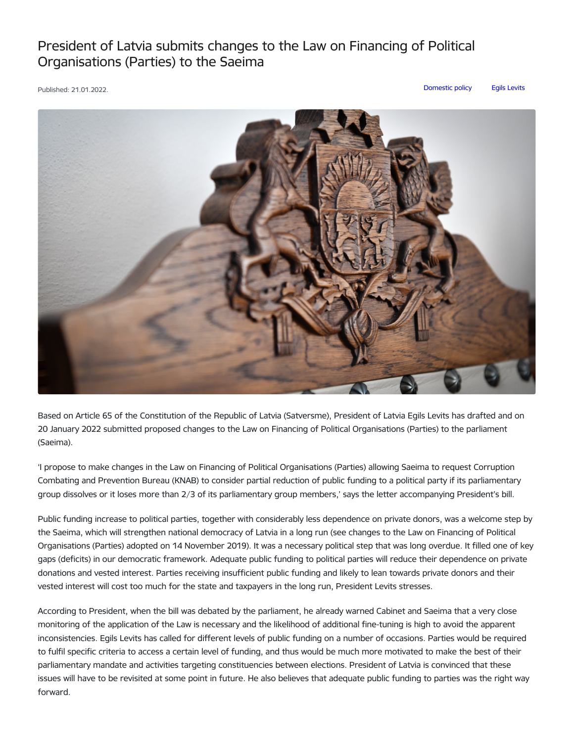## President of Latvia submits changes to the Law on Financing of Political Organisations (Parties) to the Saeima

Published: 21.01.2022. [Domestic](https://www.president.lv/en/articles?category%255B1323%255D=1323) policy Egils [Levits](https://www.president.lv/en/articles?category%255B276%255D=276)



Based on Article 65 of the Constitution of the Republic of Latvia (Satversme), President of Latvia Egils Levits has drafted and on 20 January 2022 submitted proposed changes to the Law on Financing of Political Organisations (Parties) to the parliament (Saeima).

'I propose to make changes in the Law on Financing of Political Organisations (Parties) allowing Saeima to request Corruption Combating and Prevention Bureau (KNAB) to consider partial reduction of public funding to a political party if its parliamentary group dissolves or it loses more than 2/3 of its parliamentary group members,' says the letter accompanying President's bill.

Public funding increase to political parties, together with considerably less dependence on private donors, was a welcome step by the Saeima, which will strengthen national democracy of Latvia in a long run (see changes to the Law on Financing of Political Organisations (Parties) adopted on 14 November 2019). It was a necessary political step that was long overdue. It filled one of key gaps (deficits) in our democratic framework. Adequate public funding to political parties will reduce their dependence on private donations and vested interest. Parties receiving insufficient public funding and likely to lean towards private donors and their vested interest will cost too much for the state and taxpayers in the long run, President Levits stresses.

According to President, when the bill was debated by the parliament, he already warned Cabinet and Saeima that a very close monitoring of the application of the Law is necessary and the likelihood of additional fine-tuning is high to avoid the apparent inconsistencies. Egils Levits has called for different levels of public funding on a number of occasions. Parties would be required to fulfil specific criteria to access a certain level of funding, and thus would be much more motivated to make the best of their parliamentary mandate and activities targeting constituencies between elections. President of Latvia is convinced that these issues will have to be revisited at some point in future. He also believes that adequate public funding to parties was the right way forward.